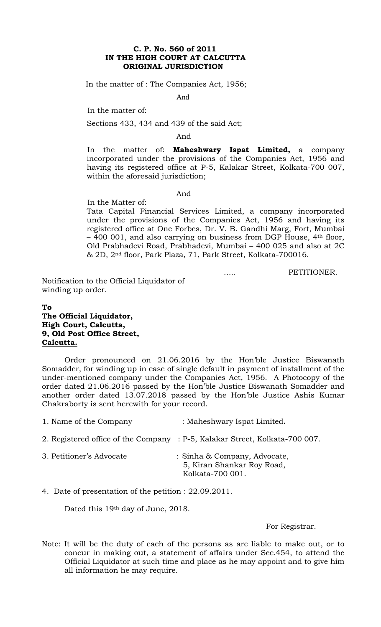### **C. P. No. 560 of 2011 IN THE HIGH COURT AT CALCUTTA ORIGINAL JURISDICTION**

In the matter of : The Companies Act, 1956;

And

In the matter of:

Sections 433, 434 and 439 of the said Act;

And

In the matter of: **Maheshwary Ispat Limited,** a company incorporated under the provisions of the Companies Act, 1956 and having its registered office at P-5, Kalakar Street, Kolkata-700 007, within the aforesaid jurisdiction;

#### And

In the Matter of:

Tata Capital Financial Services Limited, a company incorporated under the provisions of the Companies Act, 1956 and having its registered office at One Forbes, Dr. V. B. Gandhi Marg, Fort, Mumbai – 400 001, and also carrying on business from DGP House, 4th floor, Old Prabhadevi Road, Prabhadevi, Mumbai – 400 025 and also at 2C & 2D, 2nd floor, Park Plaza, 71, Park Street, Kolkata-700016.

….. PETITIONER.

Notification to the Official Liquidator of winding up order.

# **To The Official Liquidator, High Court, Calcutta, 9, Old Post Office Street, Calcutta.**

Order pronounced on 21.06.2016 by the Hon'ble Justice Biswanath Somadder, for winding up in case of single default in payment of installment of the under-mentioned company under the Companies Act, 1956. A Photocopy of the order dated 21.06.2016 passed by the Hon'ble Justice Biswanath Somadder and another order dated 13.07.2018 passed by the Hon'ble Justice Ashis Kumar Chakraborty is sent herewith for your record.

| 1. Name of the Company | : Maheshwary Ispat Limited. |
|------------------------|-----------------------------|
|------------------------|-----------------------------|

- 2. Registered office of the Company : P-5, Kalakar Street, Kolkata-700 007.
- 3. Petitioner's Advocate : Sinha & Company, Advocate, 5, Kiran Shankar Roy Road, Kolkata-700 001.

4. Date of presentation of the petition : 22.09.2011.

Dated this 19th day of June, 2018.

For Registrar.

Note: It will be the duty of each of the persons as are liable to make out, or to concur in making out, a statement of affairs under Sec.454, to attend the Official Liquidator at such time and place as he may appoint and to give him all information he may require.